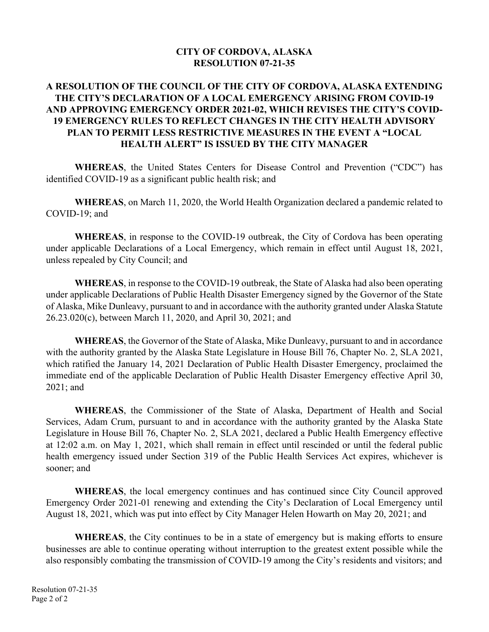## **CITY OF CORDOVA, ALASKA RESOLUTION 07-21-35**

# **A RESOLUTION OF THE COUNCIL OF THE CITY OF CORDOVA, ALASKA EXTENDING THE CITY'S DECLARATION OF A LOCAL EMERGENCY ARISING FROM COVID-19 AND APPROVING EMERGENCY ORDER 2021-02, WHICH REVISES THE CITY'S COVID-19 EMERGENCY RULES TO REFLECT CHANGES IN THE CITY HEALTH ADVISORY PLAN TO PERMIT LESS RESTRICTIVE MEASURES IN THE EVENT A "LOCAL HEALTH ALERT" IS ISSUED BY THE CITY MANAGER**

 **WHEREAS**, the United States Centers for Disease Control and Prevention ("CDC") has identified COVID-19 as a significant public health risk; and

**WHEREAS**, on March 11, 2020, the World Health Organization declared a pandemic related to COVID-19; and

**WHEREAS**, in response to the COVID-19 outbreak, the City of Cordova has been operating under applicable Declarations of a Local Emergency, which remain in effect until August 18, 2021, unless repealed by City Council; and

**WHEREAS**, in response to the COVID-19 outbreak, the State of Alaska had also been operating under applicable Declarations of Public Health Disaster Emergency signed by the Governor of the State of Alaska, Mike Dunleavy, pursuant to and in accordance with the authority granted under Alaska Statute 26.23.020(c), between March 11, 2020, and April 30, 2021; and

**WHEREAS**, the Governor of the State of Alaska, Mike Dunleavy, pursuant to and in accordance with the authority granted by the Alaska State Legislature in House Bill 76, Chapter No. 2, SLA 2021, which ratified the January 14, 2021 Declaration of Public Health Disaster Emergency, proclaimed the immediate end of the applicable Declaration of Public Health Disaster Emergency effective April 30, 2021; and

**WHEREAS**, the Commissioner of the State of Alaska, Department of Health and Social Services, Adam Crum, pursuant to and in accordance with the authority granted by the Alaska State Legislature in House Bill 76, Chapter No. 2, SLA 2021, declared a Public Health Emergency effective at 12:02 a.m. on May 1, 2021, which shall remain in effect until rescinded or until the federal public health emergency issued under Section 319 of the Public Health Services Act expires, whichever is sooner; and

**WHEREAS**, the local emergency continues and has continued since City Council approved Emergency Order 2021-01 renewing and extending the City's Declaration of Local Emergency until August 18, 2021, which was put into effect by City Manager Helen Howarth on May 20, 2021; and

**WHEREAS**, the City continues to be in a state of emergency but is making efforts to ensure businesses are able to continue operating without interruption to the greatest extent possible while the also responsibly combating the transmission of COVID-19 among the City's residents and visitors; and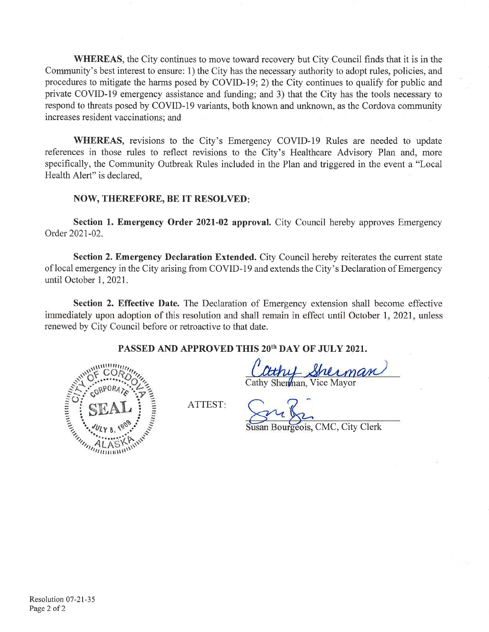**WHEREAS**, the City continues to move toward recovery but City Council finds that it is in the Community's best interest to ensure: 1) the City has the necessary authority to adopt rules, policies, and procedures to mitigate the harms posed by COVID-19; 2) the City continues to qualify for public and private COVID-19 emergency assistance and funding; and 3) that the City has the tools necessary to respond to threats posed by COVID-19 variants, both known and unknown, as the Cordova community increases resident vaccinations; and

WHEREAS, revisions to the City's Emergency COVID-19 Rules are needed to update references in those rules to reflect revisions to the City's Healthcare Advisory Plan and, more specifically, the Community Outbreak Rules included in the Plan and triggered in the event a "Local" Health Alert" is declared,

### **NOW, THEREFORE, BE IT RESOLVED:**

Section 1. Emergency Order 2021-02 approval. City Council hereby approves Emergency Order 2021-02.

**Section 2. Emergency Declaration Extended.** City Council hereby reiterates the current state of local emergency in the City arising from COVID-19 and extends the City's Declaration of Emergency until October 1, 2021.

Section 2. Effective Date. The Declaration of Emergency extension shall become effective immediately upon adoption of this resolution and shall remain in effect until October 1, 2021, unless renewed by City Council before or retroactive to that date.

PASSED AND APPROVED THIS 20<sup>th</sup> DAY OF JULY 2021.



Cathy Sherman<br>athy Sherman, Vice Mayor

ATTEST:

geois, CMC, City Clerk